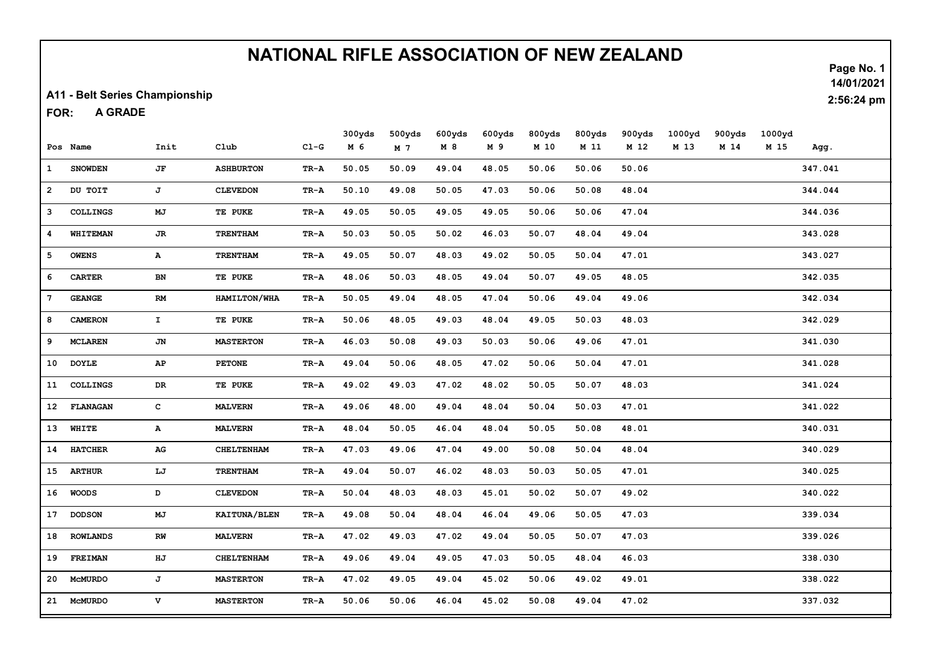A11 - Belt Series Championship

A GRADE FOR:

|                 |                 |                        |                   |                 | 300yds | 500yds | 600yds | 600yds | 800yds | 800yds | 900yds | 1000yd | 900yds | 1000yd |         |
|-----------------|-----------------|------------------------|-------------------|-----------------|--------|--------|--------|--------|--------|--------|--------|--------|--------|--------|---------|
|                 | Pos Name        | Init                   | $_{\text{C1ub}}$  | $CL-G$          | M 6    | M 7    | M8     | M 9    | M 10   | M 11   | M 12   | M 13   | M 14   | M 15   | Agg.    |
| $\mathbf{1}$    | <b>SNOWDEN</b>  | JF                     | <b>ASHBURTON</b>  | TR-A            | 50.05  | 50.09  | 49.04  | 48.05  | 50.06  | 50.06  | 50.06  |        |        |        | 347.041 |
| $\mathbf{2}$    | DU TOIT         | J                      | <b>CLEVEDON</b>   | TR-A            | 50.10  | 49.08  | 50.05  | 47.03  | 50.06  | 50.08  | 48.04  |        |        |        | 344.044 |
| 3               | <b>COLLINGS</b> | MJ                     | TE PUKE           | TR-A            | 49.05  | 50.05  | 49.05  | 49.05  | 50.06  | 50.06  | 47.04  |        |        |        | 344.036 |
| 4               | <b>WHITEMAN</b> | JR                     | <b>TRENTHAM</b>   | TR-A            | 50.03  | 50.05  | 50.02  | 46.03  | 50.07  | 48.04  | 49.04  |        |        |        | 343.028 |
| 5               | <b>OWENS</b>    | A                      | <b>TRENTHAM</b>   | TR-A            | 49.05  | 50.07  | 48.03  | 49.02  | 50.05  | 50.04  | 47.01  |        |        |        | 343.027 |
| 6               | <b>CARTER</b>   | BN                     | TE PUKE           | TR-A            | 48.06  | 50.03  | 48.05  | 49.04  | 50.07  | 49.05  | 48.05  |        |        |        | 342.035 |
| 7               | <b>GEANGE</b>   | <b>RM</b>              | HAMILTON/WHA      | TR-A            | 50.05  | 49.04  | 48.05  | 47.04  | 50.06  | 49.04  | 49.06  |        |        |        | 342.034 |
| 8               | <b>CAMERON</b>  | $\mathbf{I}$           | TE PUKE           | TR-A            | 50.06  | 48.05  | 49.03  | 48.04  | 49.05  | 50.03  | 48.03  |        |        |        | 342.029 |
| 9               | <b>MCLAREN</b>  | JN                     | <b>MASTERTON</b>  | TR-A            | 46.03  | 50.08  | 49.03  | 50.03  | 50.06  | 49.06  | 47.01  |        |        |        | 341.030 |
| 10              | <b>DOYLE</b>    | $\mathbf{A}\mathbf{P}$ | <b>PETONE</b>     | TR-A            | 49.04  | 50.06  | 48.05  | 47.02  | 50.06  | 50.04  | 47.01  |        |        |        | 341.028 |
| 11              | <b>COLLINGS</b> | DR                     | TE PUKE           | TR-A            | 49.02  | 49.03  | 47.02  | 48.02  | 50.05  | 50.07  | 48.03  |        |        |        | 341.024 |
| 12 <sup>7</sup> | <b>FLANAGAN</b> | $\mathbf{C}$           | <b>MALVERN</b>    | TR-A            | 49.06  | 48.00  | 49.04  | 48.04  | 50.04  | 50.03  | 47.01  |        |        |        | 341.022 |
| 13              | <b>WHITE</b>    | А                      | <b>MALVERN</b>    | TR-A            | 48.04  | 50.05  | 46.04  | 48.04  | 50.05  | 50.08  | 48.01  |        |        |        | 340.031 |
| 14              | <b>HATCHER</b>  | $_{\rm AG}$            | <b>CHELTENHAM</b> | TR-A            | 47.03  | 49.06  | 47.04  | 49.00  | 50.08  | 50.04  | 48.04  |        |        |        | 340.029 |
| 15              | <b>ARTHUR</b>   | LJ                     | <b>TRENTHAM</b>   | TR-A            | 49.04  | 50.07  | 46.02  | 48.03  | 50.03  | 50.05  | 47.01  |        |        |        | 340.025 |
| 16              | <b>WOODS</b>    | D                      | <b>CLEVEDON</b>   | TR-A            | 50.04  | 48.03  | 48.03  | 45.01  | 50.02  | 50.07  | 49.02  |        |        |        | 340.022 |
| 17              | <b>DODSON</b>   | MJ                     | KAITUNA/BLEN      | TR-A            | 49.08  | 50.04  | 48.04  | 46.04  | 49.06  | 50.05  | 47.03  |        |        |        | 339.034 |
| 18              | <b>ROWLANDS</b> | RW                     | <b>MALVERN</b>    | $\texttt{TR-A}$ | 47.02  | 49.03  | 47.02  | 49.04  | 50.05  | 50.07  | 47.03  |        |        |        | 339.026 |
| 19              | <b>FREIMAN</b>  | HJ                     | <b>CHELTENHAM</b> | TR-A            | 49.06  | 49.04  | 49.05  | 47.03  | 50.05  | 48.04  | 46.03  |        |        |        | 338.030 |
| 20              | <b>MCMURDO</b>  | J                      | <b>MASTERTON</b>  | TR-A            | 47.02  | 49.05  | 49.04  | 45.02  | 50.06  | 49.02  | 49.01  |        |        |        | 338.022 |
|                 | 21 McMURDO      | v                      | <b>MASTERTON</b>  | TR-A            | 50.06  | 50.06  | 46.04  | 45.02  | 50.08  | 49.04  | 47.02  |        |        |        | 337.032 |

Page No. 1 14/01/2021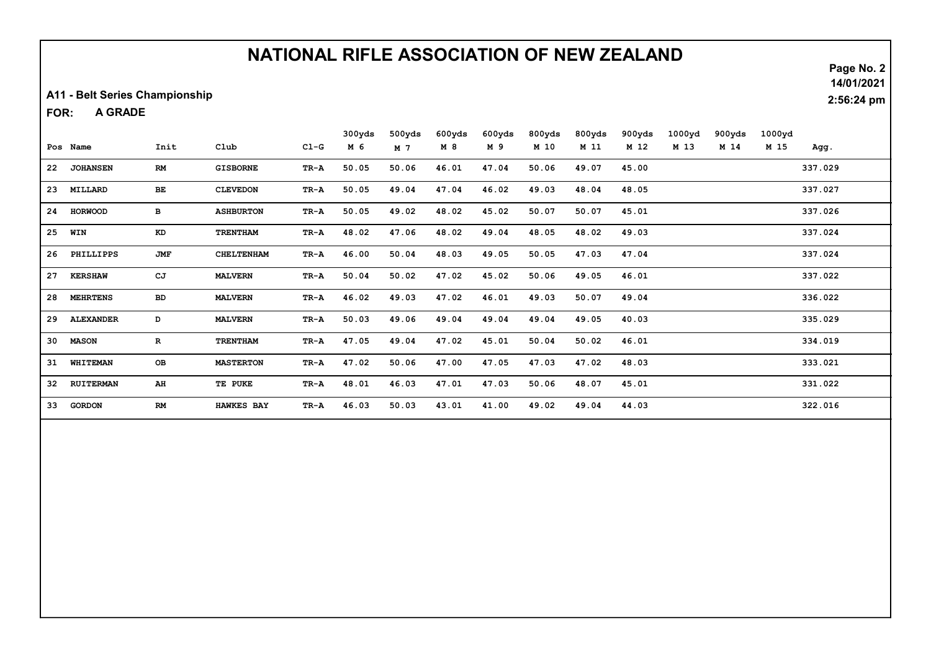A11 - Belt Series Championship

A GRADE FOR:

|                 |                  |              |                   |        | 300yds | 500yds | 600yds | 600yds | 800yds | 800yds | 900yds | 1000yd | 900yds | 1000yd |         |
|-----------------|------------------|--------------|-------------------|--------|--------|--------|--------|--------|--------|--------|--------|--------|--------|--------|---------|
|                 | Pos Name         | Init         | C1ub              | $CL-G$ | M 6    | M 7    | M 8    | M 9    | M 10   | M 11   | M 12   | M 13   | M 14   | M 15   | Agg.    |
| 22              | <b>JOHANSEN</b>  | RM           | <b>GISBORNE</b>   | TR-A   | 50.05  | 50.06  | 46.01  | 47.04  | 50.06  | 49.07  | 45.00  |        |        |        | 337.029 |
| 23              | MILLARD          | BE           | <b>CLEVEDON</b>   | TR-A   | 50.05  | 49.04  | 47.04  | 46.02  | 49.03  | 48.04  | 48.05  |        |        |        | 337.027 |
| 24              | <b>HORWOOD</b>   | в            | <b>ASHBURTON</b>  | TR-A   | 50.05  | 49.02  | 48.02  | 45.02  | 50.07  | 50.07  | 45.01  |        |        |        | 337.026 |
| 25              | WIN              | KD           | <b>TRENTHAM</b>   | TR-A   | 48.02  | 47.06  | 48.02  | 49.04  | 48.05  | 48.02  | 49.03  |        |        |        | 337.024 |
| 26              | PHILLIPPS        | <b>JMF</b>   | <b>CHELTENHAM</b> | TR-A   | 46.00  | 50.04  | 48.03  | 49.05  | 50.05  | 47.03  | 47.04  |        |        |        | 337.024 |
| 27              | <b>KERSHAW</b>   | CJ           | <b>MALVERN</b>    | TR-A   | 50.04  | 50.02  | 47.02  | 45.02  | 50.06  | 49.05  | 46.01  |        |        |        | 337.022 |
| 28              | <b>MEHRTENS</b>  | <b>BD</b>    | <b>MALVERN</b>    | TR-A   | 46.02  | 49.03  | 47.02  | 46.01  | 49.03  | 50.07  | 49.04  |        |        |        | 336.022 |
| 29              | <b>ALEXANDER</b> | D            | <b>MALVERN</b>    | TR-A   | 50.03  | 49.06  | 49.04  | 49.04  | 49.04  | 49.05  | 40.03  |        |        |        | 335.029 |
| 30              | <b>MASON</b>     | $\mathbf{R}$ | <b>TRENTHAM</b>   | TR-A   | 47.05  | 49.04  | 47.02  | 45.01  | 50.04  | 50.02  | 46.01  |        |        |        | 334.019 |
| 31              | WHITEMAN         | OB           | <b>MASTERTON</b>  | TR-A   | 47.02  | 50.06  | 47.00  | 47.05  | 47.03  | 47.02  | 48.03  |        |        |        | 333.021 |
| 32 <sup>°</sup> | <b>RUITERMAN</b> | AH           | TE PUKE           | TR-A   | 48.01  | 46.03  | 47.01  | 47.03  | 50.06  | 48.07  | 45.01  |        |        |        | 331.022 |
| 33              | <b>GORDON</b>    | RM           | <b>HAWKES BAY</b> | TR-A   | 46.03  | 50.03  | 43.01  | 41.00  | 49.02  | 49.04  | 44.03  |        |        |        | 322.016 |

Page No. 2

14/01/2021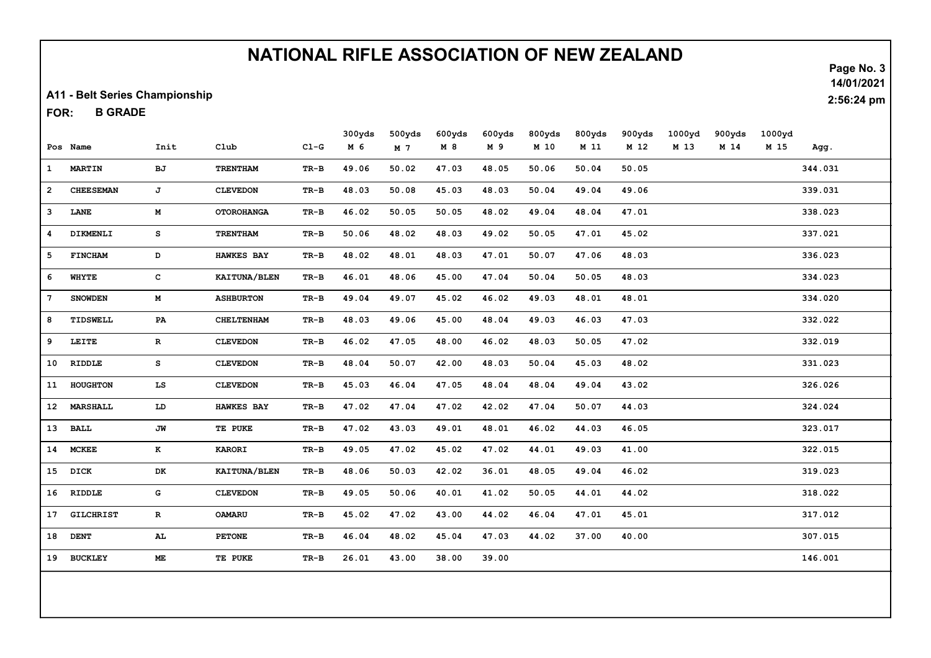A11 - Belt Series Championship

B GRADE FOR:

|              |                  |              |                   |                 | 300yds | 500yds         | 600yds | 600yds | 800yds | 800yds | 900yds | 1000yd | 900yds | 1000yd |         |
|--------------|------------------|--------------|-------------------|-----------------|--------|----------------|--------|--------|--------|--------|--------|--------|--------|--------|---------|
|              | Pos Name         | Init         | Club              | $C1-G$          | M 6    | M <sub>7</sub> | M 8    | M 9    | M 10   | M 11   | M 12   | M 13   | M 14   | M 15   | Agg.    |
| $\mathbf{1}$ | <b>MARTIN</b>    | BJ           | <b>TRENTHAM</b>   | $\texttt{TR-B}$ | 49.06  | 50.02          | 47.03  | 48.05  | 50.06  | 50.04  | 50.05  |        |        |        | 344.031 |
| $\mathbf{2}$ | <b>CHEESEMAN</b> | J            | <b>CLEVEDON</b>   | $TR-B$          | 48.03  | 50.08          | 45.03  | 48.03  | 50.04  | 49.04  | 49.06  |        |        |        | 339.031 |
| 3            | LANE             | $\mathbf M$  | <b>OTOROHANGA</b> | $TR-B$          | 46.02  | 50.05          | 50.05  | 48.02  | 49.04  | 48.04  | 47.01  |        |        |        | 338.023 |
| 4            | DIKMENLI         | s            | <b>TRENTHAM</b>   | $TR-B$          | 50.06  | 48.02          | 48.03  | 49.02  | 50.05  | 47.01  | 45.02  |        |        |        | 337.021 |
| 5            | <b>FINCHAM</b>   | $\mathbf D$  | <b>HAWKES BAY</b> | $TR-B$          | 48.02  | 48.01          | 48.03  | 47.01  | 50.07  | 47.06  | 48.03  |        |        |        | 336.023 |
| 6            | <b>WHYTE</b>     | $\mathbf{C}$ | KAITUNA/BLEN      | $TR-B$          | 46.01  | 48.06          | 45.00  | 47.04  | 50.04  | 50.05  | 48.03  |        |        |        | 334.023 |
| 7            | <b>SNOWDEN</b>   | M            | <b>ASHBURTON</b>  | $TR-B$          | 49.04  | 49.07          | 45.02  | 46.02  | 49.03  | 48.01  | 48.01  |        |        |        | 334.020 |
| 8            | TIDSWELL         | PA           | <b>CHELTENHAM</b> | $TR-B$          | 48.03  | 49.06          | 45.00  | 48.04  | 49.03  | 46.03  | 47.03  |        |        |        | 332.022 |
| 9            | LEITE            | $\mathbf{R}$ | <b>CLEVEDON</b>   | $TR-B$          | 46.02  | 47.05          | 48.00  | 46.02  | 48.03  | 50.05  | 47.02  |        |        |        | 332.019 |
| 10           | RIDDLE           | $\mathtt{s}$ | <b>CLEVEDON</b>   | $TR-B$          | 48.04  | 50.07          | 42.00  | 48.03  | 50.04  | 45.03  | 48.02  |        |        |        | 331.023 |
| 11           | HOUGHTON         | LS           | <b>CLEVEDON</b>   | $\texttt{TR-B}$ | 45.03  | 46.04          | 47.05  | 48.04  | 48.04  | 49.04  | 43.02  |        |        |        | 326.026 |
| 12           | <b>MARSHALL</b>  | ${\bf LD}$   | <b>HAWKES BAY</b> | $\texttt{TR-B}$ | 47.02  | 47.04          | 47.02  | 42.02  | 47.04  | 50.07  | 44.03  |        |        |        | 324.024 |
| 13           | <b>BALL</b>      | JW           | TE PUKE           | $TR-B$          | 47.02  | 43.03          | 49.01  | 48.01  | 46.02  | 44.03  | 46.05  |        |        |        | 323.017 |
|              | 14 MCKEE         | K            | KARORI            | $\texttt{TR-B}$ | 49.05  | 47.02          | 45.02  | 47.02  | 44.01  | 49.03  | 41.00  |        |        |        | 322.015 |
|              | 15 DICK          | DK           | KAITUNA/BLEN      | $TR-B$          | 48.06  | 50.03          | 42.02  | 36.01  | 48.05  | 49.04  | 46.02  |        |        |        | 319.023 |
|              | 16 RIDDLE        | G            | <b>CLEVEDON</b>   | $TR-B$          | 49.05  | 50.06          | 40.01  | 41.02  | 50.05  | 44.01  | 44.02  |        |        |        | 318.022 |
| 17           | <b>GILCHRIST</b> | $\mathbf R$  | <b>OAMARU</b>     | $\texttt{TR-B}$ | 45.02  | 47.02          | 43.00  | 44.02  | 46.04  | 47.01  | 45.01  |        |        |        | 317.012 |
| 18           | <b>DENT</b>      | AL           | <b>PETONE</b>     | $TR-B$          | 46.04  | 48.02          | 45.04  | 47.03  | 44.02  | 37.00  | 40.00  |        |        |        | 307.015 |
|              | 19 BUCKLEY       | ME           | TE PUKE           | $TR-B$          | 26.01  | 43.00          | 38.00  | 39.00  |        |        |        |        |        |        | 146.001 |
|              |                  |              |                   |                 |        |                |        |        |        |        |        |        |        |        |         |

Page No. 3

14/01/2021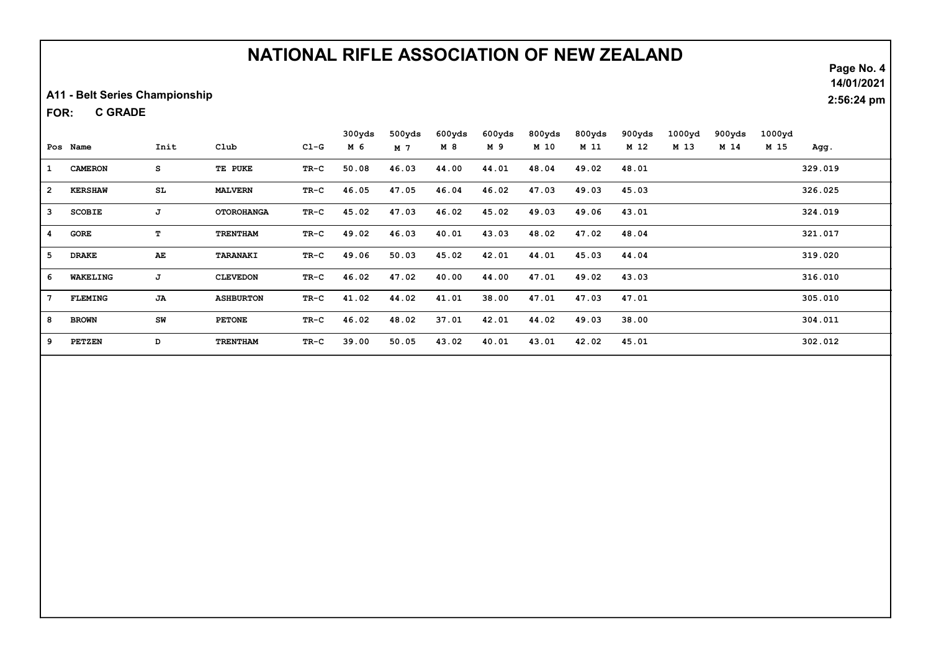A11 - Belt Series Championship

C GRADE FOR:

|                |                |      |                   |        | 300yds | 500yds | 600yds | 600yds | 800yds | 800yds | 900yds | 1000yd | 900yds | 1000yd |         |
|----------------|----------------|------|-------------------|--------|--------|--------|--------|--------|--------|--------|--------|--------|--------|--------|---------|
|                | Pos Name       | Init | Club              | $C1-G$ | M 6    | M 7    | M 8    | M 9    | M 10   | M 11   | M 12   | M 13   | M 14   | M 15   | Agg.    |
| $\mathbf{1}$   | <b>CAMERON</b> | s    | TE PUKE           | TR-C   | 50.08  | 46.03  | 44.00  | 44.01  | 48.04  | 49.02  | 48.01  |        |        |        | 329.019 |
| $\overline{2}$ | <b>KERSHAW</b> | SL.  | <b>MALVERN</b>    | TR-C   | 46.05  | 47.05  | 46.04  | 46.02  | 47.03  | 49.03  | 45.03  |        |        |        | 326.025 |
| 3              | <b>SCOBIE</b>  | J    | <b>OTOROHANGA</b> | TR-C   | 45.02  | 47.03  | 46.02  | 45.02  | 49.03  | 49.06  | 43.01  |        |        |        | 324.019 |
| 4              | <b>GORE</b>    | т    | <b>TRENTHAM</b>   | TR-C   | 49.02  | 46.03  | 40.01  | 43.03  | 48.02  | 47.02  | 48.04  |        |        |        | 321.017 |
| 5              | <b>DRAKE</b>   | AE   | TARANAKI          | TR-C   | 49.06  | 50.03  | 45.02  | 42.01  | 44.01  | 45.03  | 44.04  |        |        |        | 319.020 |
| 6              | WAKELING       | J    | <b>CLEVEDON</b>   | TR-C   | 46.02  | 47.02  | 40.00  | 44.00  | 47.01  | 49.02  | 43.03  |        |        |        | 316.010 |
| 7              | <b>FLEMING</b> | JA   | <b>ASHBURTON</b>  | TR-C   | 41.02  | 44.02  | 41.01  | 38.00  | 47.01  | 47.03  | 47.01  |        |        |        | 305.010 |
| 8              | <b>BROWN</b>   | SW   | <b>PETONE</b>     | $TR-C$ | 46.02  | 48.02  | 37.01  | 42.01  | 44.02  | 49.03  | 38.00  |        |        |        | 304.011 |
| 9              | <b>PETZEN</b>  | D    | TRENTHAM          | TR-C   | 39.00  | 50.05  | 43.02  | 40.01  | 43.01  | 42.02  | 45.01  |        |        |        | 302.012 |

Page No. 4

14/01/2021